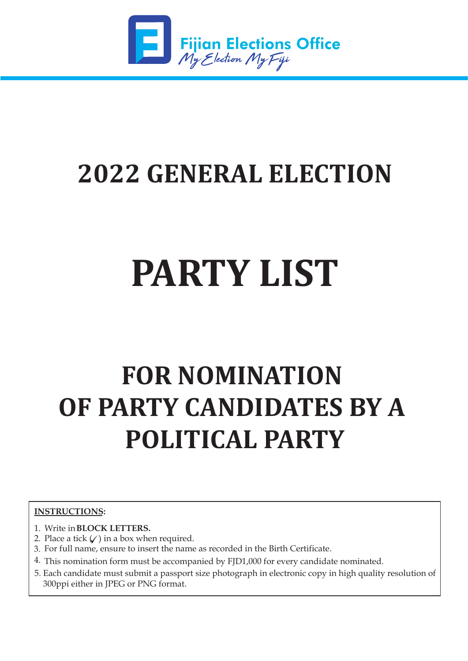

*www.feo.org.�j*

Fax : 3316 026

### **2022 GENERAL ELECTION**

# **PARTY LIST**

## **FOR NOMINATION OF PARTY CANDIDATES BY A POLITICAL PARTY**

#### **INSTRUCTIONS:**

- 1. Write in **BLOCK LETTERS.**
- 2. Place a tick  $\mathcal{C}$  in a box when required.
- 3. For full name, ensure to insert the name as recorded in the Birth Certificate.
- 4. This nomination form must be accompanied by FJD1,000 for every candidate nominated.
- 5. Each candidate must submit a passport size photograph in electronic copy in high quality resolution of 300ppi either in JPEG or PNG format.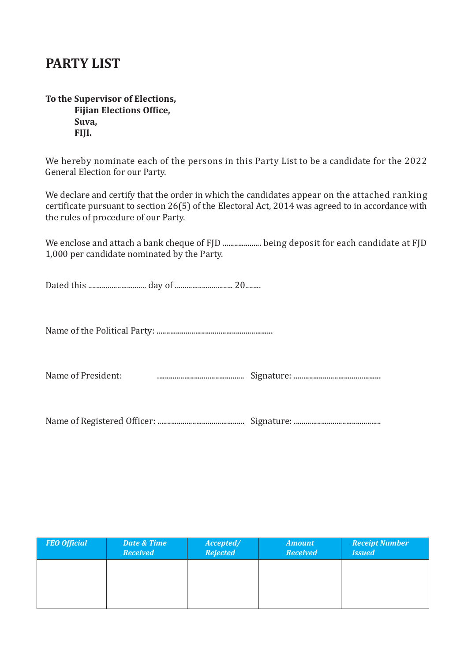#### **PARTY LIST**

**To the Supervisor of Elections, Fijian Elections Office, Suva, FIJI.**

We hereby nominate each of the persons in this Party List to be a candidate for the 2022 General Election for our Party.

We declare and certify that the order in which the candidates appear on the attached ranking certificate pursuant to section 26(5) of the Electoral Act, 2014 was agreed to in accordance with the rules of procedure of our Party.

We enclose and attach a bank cheque of FJD ........................ being deposit for each candidate at FJD 1,000 per candidate nominated by the Party.

Dated this .............................. day of .............................. 20........

Name of the Political Party: ............................................................

Name of President: ............................................. Signature: .............................................

Name of Registered Of�icer: ............................................. Signature: .............................................

| <b>FEO Official</b> | <b>Date &amp; Time</b><br><b>Received</b> | Accepted/<br><b>Rejected</b> | <b>Amount</b><br><b>Received</b> | <b>Receipt Number</b><br><i>issued</i> |
|---------------------|-------------------------------------------|------------------------------|----------------------------------|----------------------------------------|
|                     |                                           |                              |                                  |                                        |
|                     |                                           |                              |                                  |                                        |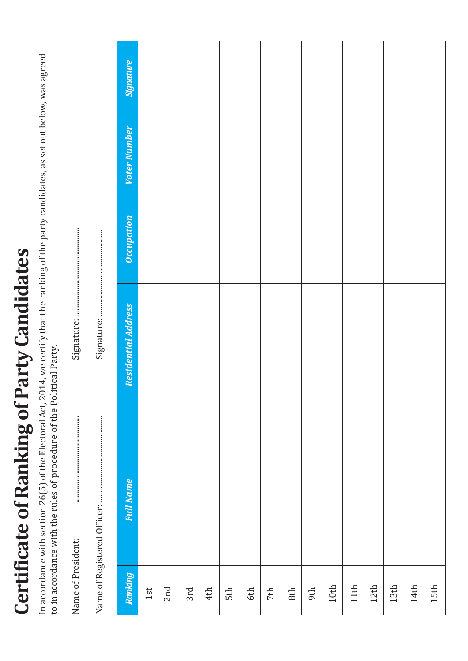# **Certificate of Ranking of Party Candidates Certi�icate of Ranking of Party Candidates**

In accordance with section 26(5) of the Electoral Act, 2014, we certify that the ranking of the party candidates, as set out below, was agreed In accordance with section 26(5) of the Electoral Act, 2014, we certify that the ranking of the party candidates, as set out below, was agreed to in accordance with the rules of procedure of the Political Party. to in accordance with the rules of procedure of the Political Party.

Name of President: ............................................. Signature: .............................................. Name of President:

Name of Registered Of�icer: ............................................. Signature: ............................................. 

| Ranking<br>1st  | <b>Full Name</b> | <b>Residential Address</b> | Occupation | Voter Number | <b>Signature</b> |
|-----------------|------------------|----------------------------|------------|--------------|------------------|
|                 |                  |                            |            |              |                  |
| 2nd             |                  |                            |            |              |                  |
| 3rd             |                  |                            |            |              |                  |
| 4th             |                  |                            |            |              |                  |
| 5 <sup>th</sup> |                  |                            |            |              |                  |
| $6th\,$         |                  |                            |            |              |                  |
| 7th             |                  |                            |            |              |                  |
| $8th$           |                  |                            |            |              |                  |
| 9th             |                  |                            |            |              |                  |
| $10th$          |                  |                            |            |              |                  |
| 11th            |                  |                            |            |              |                  |
| 12th            |                  |                            |            |              |                  |
| 13th            |                  |                            |            |              |                  |
| 14th            |                  |                            |            |              |                  |
| 15th            |                  |                            |            |              |                  |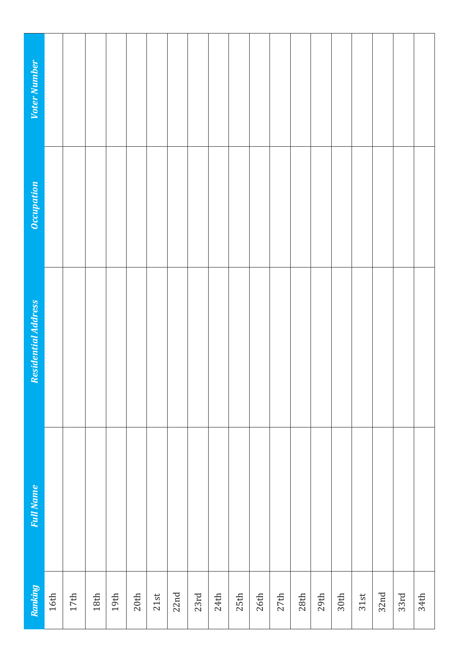| Voter Number               |        |        |        |        |      |      |      |      |      |      |        |      |      |      |      |      |      |      |      |
|----------------------------|--------|--------|--------|--------|------|------|------|------|------|------|--------|------|------|------|------|------|------|------|------|
| <b>Occupation</b>          |        |        |        |        |      |      |      |      |      |      |        |      |      |      |      |      |      |      |      |
| <b>Residential Address</b> |        |        |        |        |      |      |      |      |      |      |        |      |      |      |      |      |      |      |      |
| <b>Full Name</b>           |        |        |        |        |      |      |      |      |      |      |        |      |      |      |      |      |      |      |      |
| Ranking                    | $16th$ | $17th$ | $18th$ | $19th$ | 20th | 21st | 22nd | 23rd | 24th | 25th | $26th$ | 27th | 28th | 29th | 30th | 31st | 32nd | 33rd | 34th |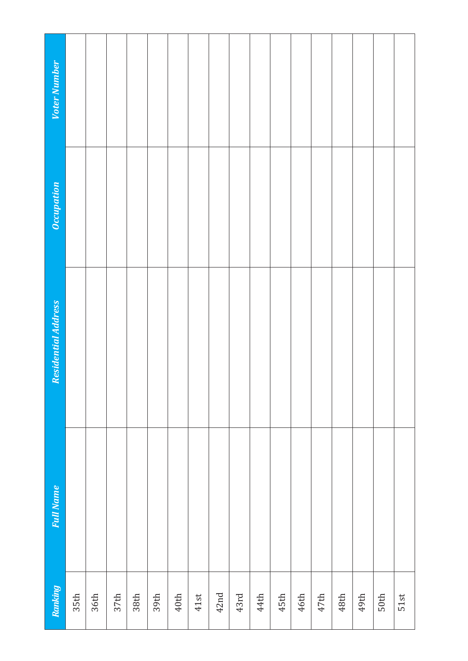| Voter Number               |      |      |      |      |      |        |      |      |      |      |      |      |      |      |      |      |      |
|----------------------------|------|------|------|------|------|--------|------|------|------|------|------|------|------|------|------|------|------|
| Occupation                 |      |      |      |      |      |        |      |      |      |      |      |      |      |      |      |      |      |
| <b>Residential Address</b> |      |      |      |      |      |        |      |      |      |      |      |      |      |      |      |      |      |
| <b>Full Name</b>           |      |      |      |      |      |        |      |      |      |      |      |      |      |      |      |      |      |
| Ranking                    | 35th | 36th | 37th | 38th | 39th | $40th$ | 41st | 42nd | 43rd | 44th | 45th | 46th | 47th | 48th | 49th | 50th | 51st |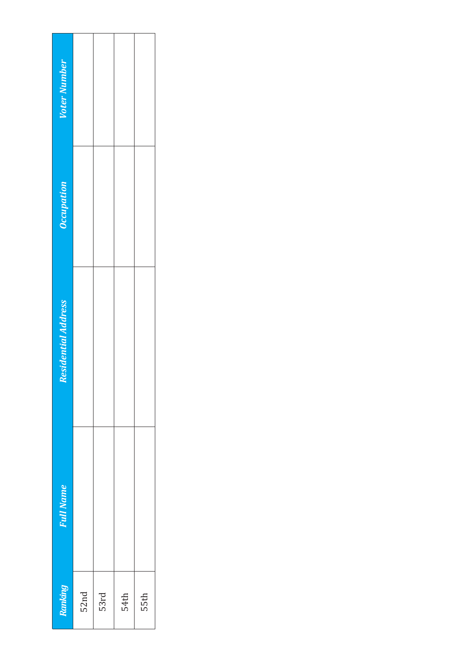| <b>Voter Number</b>        |      |      |      |      |
|----------------------------|------|------|------|------|
| Occupation                 |      |      |      |      |
| <b>Residential Address</b> |      |      |      |      |
| <b>Full Name</b>           |      |      |      |      |
| Ranking                    | 52nd | 53rd | 54th | 55th |